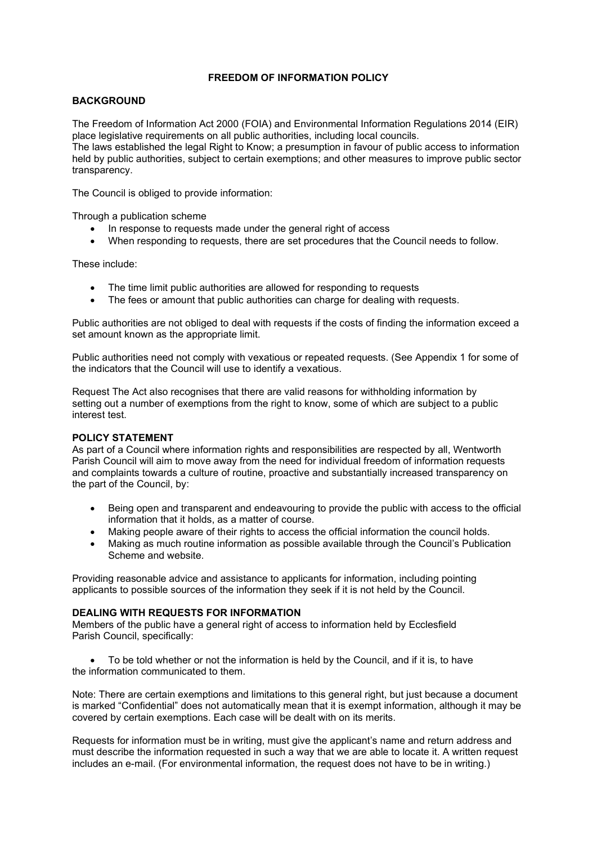# FREEDOM OF INFORMATION POLICY

# **BACKGROUND**

The Freedom of Information Act 2000 (FOIA) and Environmental Information Regulations 2014 (EIR) place legislative requirements on all public authorities, including local councils.

The laws established the legal Right to Know; a presumption in favour of public access to information held by public authorities, subject to certain exemptions; and other measures to improve public sector transparency.

The Council is obliged to provide information:

Through a publication scheme

- In response to requests made under the general right of access
- When responding to requests, there are set procedures that the Council needs to follow.

These include:

- The time limit public authorities are allowed for responding to requests
- The fees or amount that public authorities can charge for dealing with requests.

Public authorities are not obliged to deal with requests if the costs of finding the information exceed a set amount known as the appropriate limit.

Public authorities need not comply with vexatious or repeated requests. (See Appendix 1 for some of the indicators that the Council will use to identify a vexatious.

Request The Act also recognises that there are valid reasons for withholding information by setting out a number of exemptions from the right to know, some of which are subject to a public interest test.

# POLICY STATEMENT

As part of a Council where information rights and responsibilities are respected by all, Wentworth Parish Council will aim to move away from the need for individual freedom of information requests and complaints towards a culture of routine, proactive and substantially increased transparency on the part of the Council, by:

- Being open and transparent and endeavouring to provide the public with access to the official information that it holds, as a matter of course.
- Making people aware of their rights to access the official information the council holds.
- Making as much routine information as possible available through the Council's Publication Scheme and website.

Providing reasonable advice and assistance to applicants for information, including pointing applicants to possible sources of the information they seek if it is not held by the Council.

# DEALING WITH REQUESTS FOR INFORMATION

Members of the public have a general right of access to information held by Ecclesfield Parish Council, specifically:

 To be told whether or not the information is held by the Council, and if it is, to have the information communicated to them.

Note: There are certain exemptions and limitations to this general right, but just because a document is marked "Confidential" does not automatically mean that it is exempt information, although it may be covered by certain exemptions. Each case will be dealt with on its merits.

Requests for information must be in writing, must give the applicant's name and return address and must describe the information requested in such a way that we are able to locate it. A written request includes an e-mail. (For environmental information, the request does not have to be in writing.)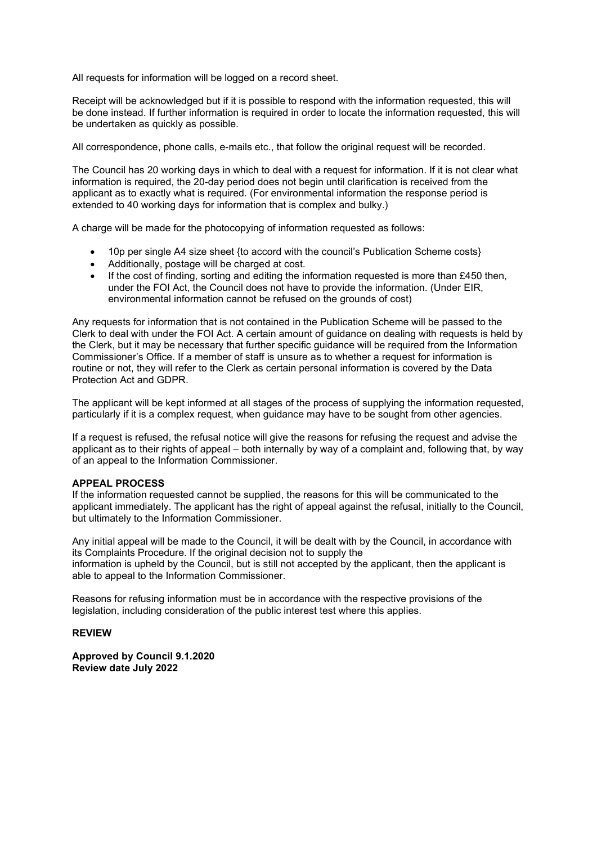All requests for information will be logged on a record sheet.

Receipt will be acknowledged but if it is possible to respond with the information requested, this will be done instead. If further information is required in order to locate the information requested, this will be undertaken as quickly as possible.

All correspondence, phone calls, e-mails etc., that follow the original request will be recorded.

The Council has 20 working days in which to deal with a request for information. If it is not clear what information is required, the 20-day period does not begin until clarification is received from the applicant as to exactly what is required. (For environmental information the response period is extended to 40 working days for information that is complex and bulky.)

A charge will be made for the photocopying of information requested as follows:

- 10p per single A4 size sheet {to accord with the council's Publication Scheme costs}
- Additionally, postage will be charged at cost.
- $\bullet$  If the cost of finding, sorting and editing the information requested is more than £450 then, under the FOI Act, the Council does not have to provide the information. (Under EIR, environmental information cannot be refused on the grounds of cost)

Any requests for information that is not contained in the Publication Scheme will be passed to the Clerk to deal with under the FOI Act. A certain amount of guidance on dealing with requests is held by the Clerk, but it may be necessary that further specific guidance will be required from the Information Commissioner's Office. If a member of staff is unsure as to whether a request for information is routine or not, they will refer to the Clerk as certain personal information is covered by the Data Protection Act and GDPR.

The applicant will be kept informed at all stages of the process of supplying the information requested, particularly if it is a complex request, when guidance may have to be sought from other agencies.

If a request is refused, the refusal notice will give the reasons for refusing the request and advise the applicant as to their rights of appeal – both internally by way of a complaint and, following that, by way of an appeal to the Information Commissioner.

### APPEAL PROCESS

If the information requested cannot be supplied, the reasons for this will be communicated to the applicant immediately. The applicant has the right of appeal against the refusal, initially to the Council, but ultimately to the Information Commissioner.

Any initial appeal will be made to the Council, it will be dealt with by the Council, in accordance with its Complaints Procedure. If the original decision not to supply the information is upheld by the Council, but is still not accepted by the applicant, then the applicant is able to appeal to the Information Commissioner.

Reasons for refusing information must be in accordance with the respective provisions of the legislation, including consideration of the public interest test where this applies.

### REVIEW

Approved by Council 9.1.2020 Review date July 2022